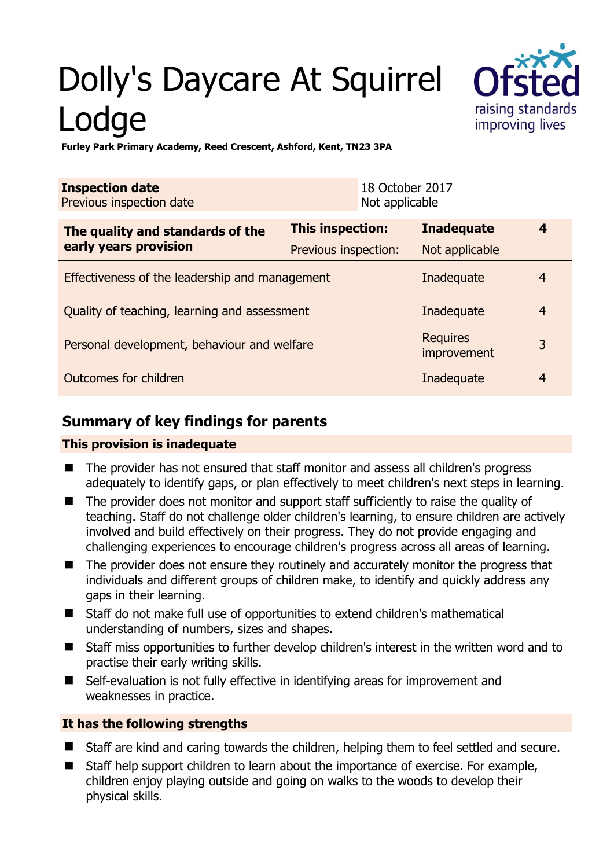# Dolly's Daycare At Squirrel Lodge



**Furley Park Primary Academy, Reed Crescent, Ashford, Kent, TN23 3PA** 

| <b>Inspection date</b><br>Previous inspection date |                      | 18 October 2017<br>Not applicable |                                |                |
|----------------------------------------------------|----------------------|-----------------------------------|--------------------------------|----------------|
| The quality and standards of the                   | This inspection:     |                                   | <b>Inadequate</b>              | 4              |
| early years provision                              | Previous inspection: |                                   | Not applicable                 |                |
| Effectiveness of the leadership and management     |                      |                                   | Inadequate                     | $\overline{4}$ |
| Quality of teaching, learning and assessment       |                      |                                   | Inadequate                     | $\overline{4}$ |
| Personal development, behaviour and welfare        |                      |                                   | <b>Requires</b><br>improvement | 3              |
| Outcomes for children                              |                      |                                   | Inadequate                     | $\overline{4}$ |

# **Summary of key findings for parents**

#### **This provision is inadequate**

- The provider has not ensured that staff monitor and assess all children's progress adequately to identify gaps, or plan effectively to meet children's next steps in learning.
- The provider does not monitor and support staff sufficiently to raise the quality of teaching. Staff do not challenge older children's learning, to ensure children are actively involved and build effectively on their progress. They do not provide engaging and challenging experiences to encourage children's progress across all areas of learning.
- The provider does not ensure they routinely and accurately monitor the progress that individuals and different groups of children make, to identify and quickly address any gaps in their learning.
- Staff do not make full use of opportunities to extend children's mathematical understanding of numbers, sizes and shapes.
- Staff miss opportunities to further develop children's interest in the written word and to practise their early writing skills.
- Self-evaluation is not fully effective in identifying areas for improvement and weaknesses in practice.

### **It has the following strengths**

- Staff are kind and caring towards the children, helping them to feel settled and secure.
- Staff help support children to learn about the importance of exercise. For example, children enjoy playing outside and going on walks to the woods to develop their physical skills.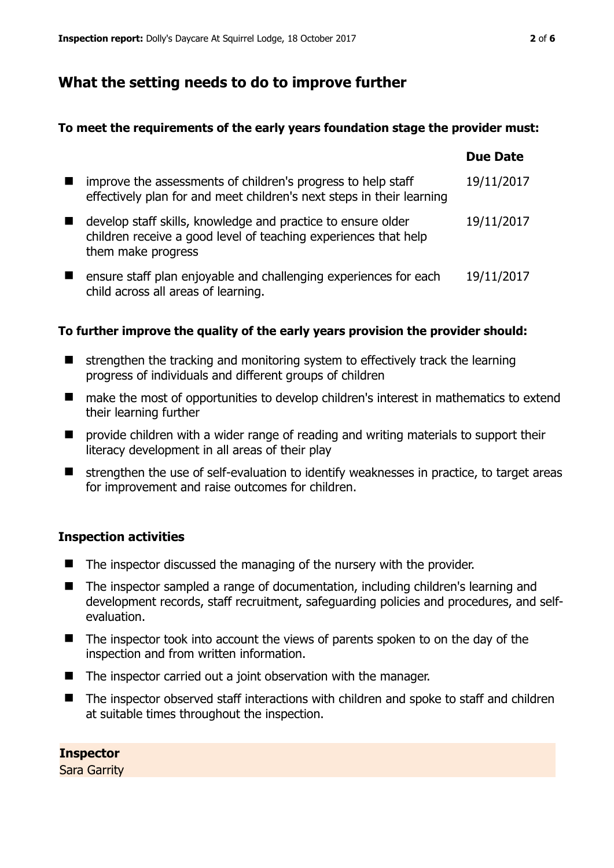## **What the setting needs to do to improve further**

#### **To meet the requirements of the early years foundation stage the provider must:**

|                                                                                                                                                       | <b>Due Date</b> |
|-------------------------------------------------------------------------------------------------------------------------------------------------------|-----------------|
| improve the assessments of children's progress to help staff<br>effectively plan for and meet children's next steps in their learning                 | 19/11/2017      |
| develop staff skills, knowledge and practice to ensure older<br>children receive a good level of teaching experiences that help<br>them make progress | 19/11/2017      |
| ensure staff plan enjoyable and challenging experiences for each<br>child across all areas of learning.                                               | 19/11/2017      |

#### **To further improve the quality of the early years provision the provider should:**

- $\blacksquare$  strengthen the tracking and monitoring system to effectively track the learning progress of individuals and different groups of children
- make the most of opportunities to develop children's interest in mathematics to extend their learning further
- **P** provide children with a wider range of reading and writing materials to support their literacy development in all areas of their play
- $\blacksquare$  strengthen the use of self-evaluation to identify weaknesses in practice, to target areas for improvement and raise outcomes for children.

#### **Inspection activities**

- The inspector discussed the managing of the nursery with the provider.
- The inspector sampled a range of documentation, including children's learning and development records, staff recruitment, safeguarding policies and procedures, and selfevaluation.
- The inspector took into account the views of parents spoken to on the day of the inspection and from written information.
- $\blacksquare$  The inspector carried out a joint observation with the manager.
- The inspector observed staff interactions with children and spoke to staff and children at suitable times throughout the inspection.

**Inspector**  Sara Garrity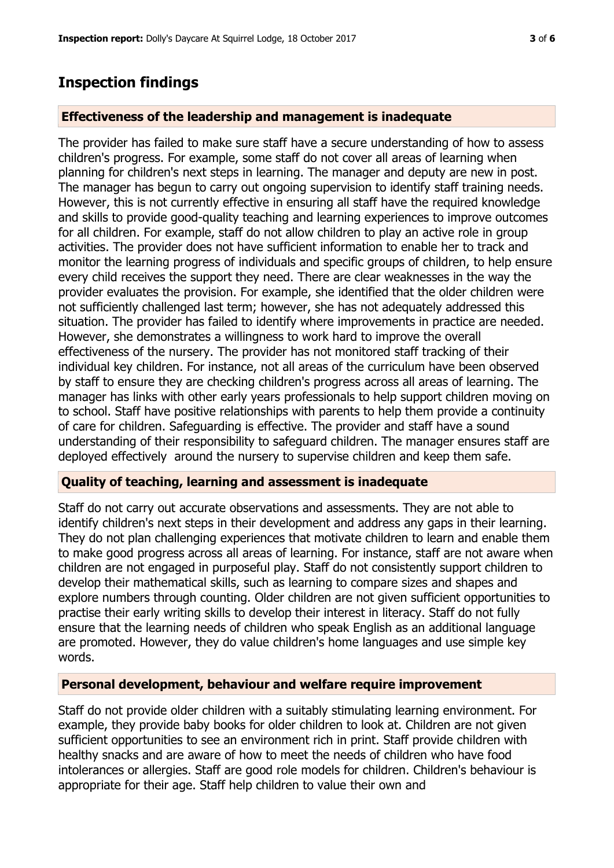# **Inspection findings**

#### **Effectiveness of the leadership and management is inadequate**

The provider has failed to make sure staff have a secure understanding of how to assess children's progress. For example, some staff do not cover all areas of learning when planning for children's next steps in learning. The manager and deputy are new in post. The manager has begun to carry out ongoing supervision to identify staff training needs. However, this is not currently effective in ensuring all staff have the required knowledge and skills to provide good-quality teaching and learning experiences to improve outcomes for all children. For example, staff do not allow children to play an active role in group activities. The provider does not have sufficient information to enable her to track and monitor the learning progress of individuals and specific groups of children, to help ensure every child receives the support they need. There are clear weaknesses in the way the provider evaluates the provision. For example, she identified that the older children were not sufficiently challenged last term; however, she has not adequately addressed this situation. The provider has failed to identify where improvements in practice are needed. However, she demonstrates a willingness to work hard to improve the overall effectiveness of the nursery. The provider has not monitored staff tracking of their individual key children. For instance, not all areas of the curriculum have been observed by staff to ensure they are checking children's progress across all areas of learning. The manager has links with other early years professionals to help support children moving on to school. Staff have positive relationships with parents to help them provide a continuity of care for children. Safeguarding is effective. The provider and staff have a sound understanding of their responsibility to safeguard children. The manager ensures staff are deployed effectively around the nursery to supervise children and keep them safe.

#### **Quality of teaching, learning and assessment is inadequate**

Staff do not carry out accurate observations and assessments. They are not able to identify children's next steps in their development and address any gaps in their learning. They do not plan challenging experiences that motivate children to learn and enable them to make good progress across all areas of learning. For instance, staff are not aware when children are not engaged in purposeful play. Staff do not consistently support children to develop their mathematical skills, such as learning to compare sizes and shapes and explore numbers through counting. Older children are not given sufficient opportunities to practise their early writing skills to develop their interest in literacy. Staff do not fully ensure that the learning needs of children who speak English as an additional language are promoted. However, they do value children's home languages and use simple key words.

#### **Personal development, behaviour and welfare require improvement**

Staff do not provide older children with a suitably stimulating learning environment. For example, they provide baby books for older children to look at. Children are not given sufficient opportunities to see an environment rich in print. Staff provide children with healthy snacks and are aware of how to meet the needs of children who have food intolerances or allergies. Staff are good role models for children. Children's behaviour is appropriate for their age. Staff help children to value their own and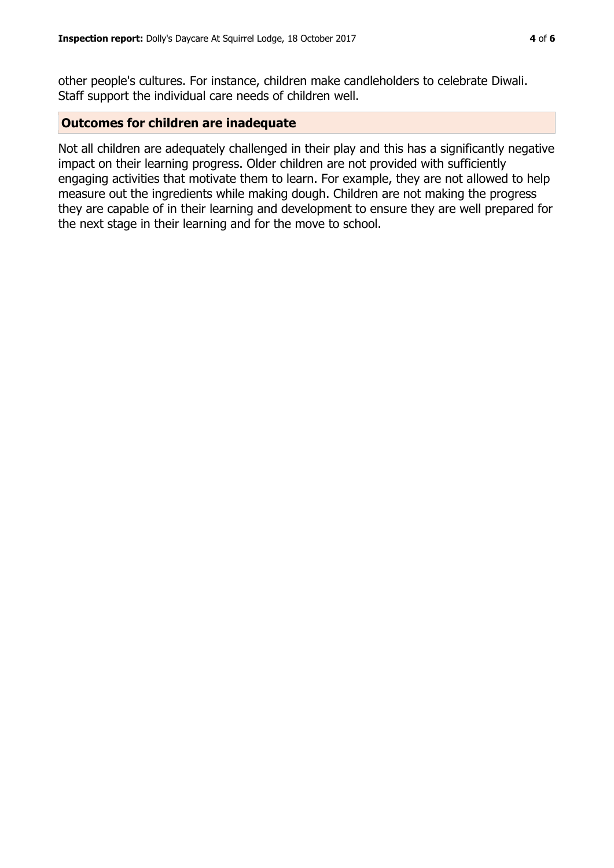other people's cultures. For instance, children make candleholders to celebrate Diwali. Staff support the individual care needs of children well.

#### **Outcomes for children are inadequate**

Not all children are adequately challenged in their play and this has a significantly negative impact on their learning progress. Older children are not provided with sufficiently engaging activities that motivate them to learn. For example, they are not allowed to help measure out the ingredients while making dough. Children are not making the progress they are capable of in their learning and development to ensure they are well prepared for the next stage in their learning and for the move to school.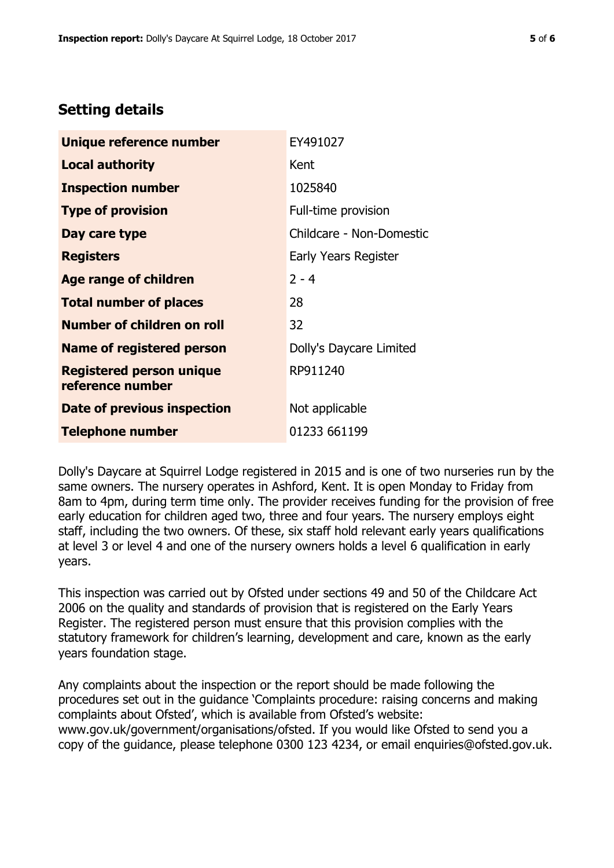# **Setting details**

| Unique reference number                             | EY491027                 |
|-----------------------------------------------------|--------------------------|
| <b>Local authority</b>                              | Kent                     |
| <b>Inspection number</b>                            | 1025840                  |
| <b>Type of provision</b>                            | Full-time provision      |
| Day care type                                       | Childcare - Non-Domestic |
| <b>Registers</b>                                    | Early Years Register     |
| <b>Age range of children</b>                        | $2 - 4$                  |
| <b>Total number of places</b>                       | 28                       |
| <b>Number of children on roll</b>                   | 32                       |
| <b>Name of registered person</b>                    | Dolly's Daycare Limited  |
| <b>Registered person unique</b><br>reference number | RP911240                 |
| Date of previous inspection                         | Not applicable           |
| <b>Telephone number</b>                             | 01233 661199             |

Dolly's Daycare at Squirrel Lodge registered in 2015 and is one of two nurseries run by the same owners. The nursery operates in Ashford, Kent. It is open Monday to Friday from 8am to 4pm, during term time only. The provider receives funding for the provision of free early education for children aged two, three and four years. The nursery employs eight staff, including the two owners. Of these, six staff hold relevant early years qualifications at level 3 or level 4 and one of the nursery owners holds a level 6 qualification in early years.

This inspection was carried out by Ofsted under sections 49 and 50 of the Childcare Act 2006 on the quality and standards of provision that is registered on the Early Years Register. The registered person must ensure that this provision complies with the statutory framework for children's learning, development and care, known as the early years foundation stage.

Any complaints about the inspection or the report should be made following the procedures set out in the guidance 'Complaints procedure: raising concerns and making complaints about Ofsted', which is available from Ofsted's website: www.gov.uk/government/organisations/ofsted. If you would like Ofsted to send you a copy of the guidance, please telephone 0300 123 4234, or email enquiries@ofsted.gov.uk.